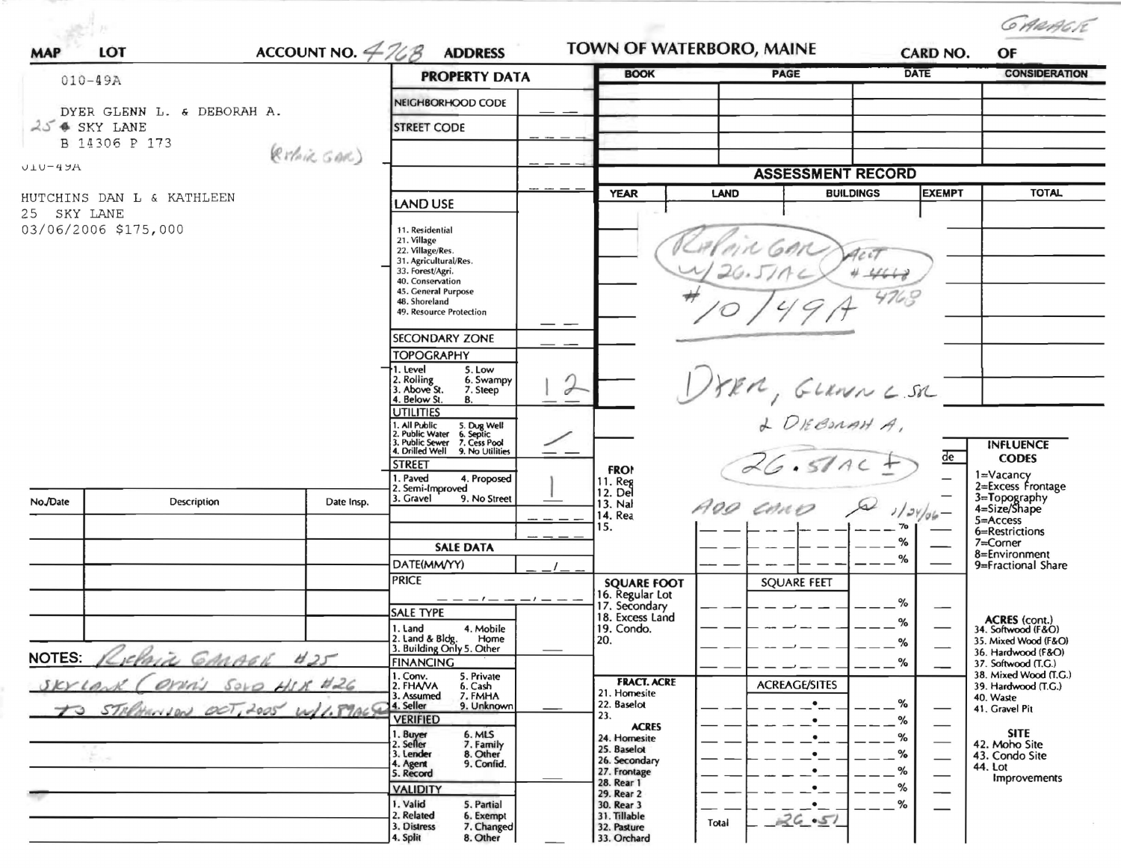| <b>MAP</b>                                                           | LOT           |              | ACCOUNT NO. $4\%$ ADDRESS                                                                                                                                                              |                                                                 | TOWN OF WATERBORO, MAINE                             | CARD NO.    | GARAGR<br>OF                                 |
|----------------------------------------------------------------------|---------------|--------------|----------------------------------------------------------------------------------------------------------------------------------------------------------------------------------------|-----------------------------------------------------------------|------------------------------------------------------|-------------|----------------------------------------------|
|                                                                      |               |              | <b>PROPERTY DATA</b>                                                                                                                                                                   | <b>BOOK</b>                                                     | PAGE                                                 | <b>DATE</b> | <b>CONSIDERATION</b>                         |
| $010 - 49A$<br>DYER GLENN L. & DEBORAH A.<br>$25$ $\bullet$ SKY LANE |               |              | NEIGHBORHOOD CODE                                                                                                                                                                      |                                                                 |                                                      |             |                                              |
|                                                                      |               |              | <b>STREET CODE</b>                                                                                                                                                                     |                                                                 |                                                      |             |                                              |
|                                                                      | B 14306 P 173 |              |                                                                                                                                                                                        |                                                                 |                                                      |             |                                              |
| (RIPAIR GAR)<br>$U1U - 4JA$                                          |               |              |                                                                                                                                                                                        |                                                                 | <b>ASSESSMENT RECORD</b>                             |             |                                              |
| HUTCHINS DAN L & KATHLEEN                                            |               |              |                                                                                                                                                                                        | <b>EXEMPT</b><br><b>YEAR</b><br><b>BUILDINGS</b><br><b>LAND</b> |                                                      |             |                                              |
| SKY LANE<br>25                                                       |               |              | LAND USE                                                                                                                                                                               |                                                                 |                                                      |             |                                              |
| 03/06/2006 \$175,000                                                 |               |              | 11. Residential<br>21. Village<br>22. Village/Res.<br>31. Agricultural/Res.<br>33. Forest/Agri.<br>40. Conservation<br>45. General Purpose<br>48. Shoreland<br>49. Resource Protection |                                                                 |                                                      |             |                                              |
|                                                                      |               |              | <b>SECONDARY ZONE</b>                                                                                                                                                                  |                                                                 |                                                      |             |                                              |
|                                                                      |               |              | <b>TOPOGRAPHY</b>                                                                                                                                                                      |                                                                 |                                                      |             |                                              |
|                                                                      |               |              | I. Level<br>5. Low<br>2. Rolling<br>3. Above St.<br>6. Swampy<br>7. Steep<br>s<br>4. Below St.<br>В.                                                                                   |                                                                 |                                                      |             |                                              |
|                                                                      |               |              | <b>UTILITIES</b><br>1. All Public 5. Dug Well<br>2. Public Water 6. Septic<br>3. Public Sewer 7. Cess Pool<br>4. Drilled Well 9. No Utilities                                          |                                                                 | $DfRA, GUAN L SA$<br>$+ DRESMAH A,$<br>$= G. SAAC B$ | de          | <b>INFLUENCE</b><br><b>CODES</b>             |
|                                                                      |               |              | <b>STREET</b><br>I. Paved<br>4. Proposed<br>2. Semi-Improved                                                                                                                           | <b>FRO!</b><br>11. Reg<br>12. Del                               |                                                      |             | 1=Vacancy<br>2=Excess Frontage               |
| No./Date                                                             | Description   | Date Insp.   | 3. Gravel<br>9. No Street                                                                                                                                                              | 13. Nal<br>14. Rea                                              | ADD CARD & 1/24/06-                                  |             | 3=Topography<br>4=Size/Shape                 |
|                                                                      |               |              |                                                                                                                                                                                        | 15.                                                             |                                                      |             | 5=Access<br>6=Restrictions                   |
|                                                                      |               |              | <b>SALE DATA</b>                                                                                                                                                                       |                                                                 |                                                      | %           | 7=Corner<br>8=Environment                    |
|                                                                      |               |              | DATE(MM/YY)<br><b>PRICE</b>                                                                                                                                                            | <b>SQUARE FOOT</b>                                              | <b>SQUARE FEET</b>                                   |             | 9=Fractional Share                           |
|                                                                      |               |              | — — — — — — — — —                                                                                                                                                                      | 16. Regular Lot<br>17. Secondary                                |                                                      | %           |                                              |
|                                                                      |               |              | <b>SALE TYPE</b><br>1. Land<br>4. Mobile                                                                                                                                               | 18. Excess Land<br>19. Condo.                                   |                                                      | $\%$        | ACRES (cont.)<br>34. Softwood (F&O)          |
|                                                                      |               |              | 2. Land & Bldg.<br>Home<br>3. Building Only 5. Other                                                                                                                                   | 20.                                                             |                                                      | %           | 35. Mixed Wood (F&O)                         |
| <b>NOTES:</b><br>CARAGE<br>425                                       |               |              | <b>FINANCING</b>                                                                                                                                                                       |                                                                 |                                                      | $\%$        | 36. Hardwood (F&O)<br>37. Softwood (T.G.)    |
| SKIA                                                                 | orin          | SOLO HIK A26 | 1. Conv.<br>5. Private<br>2. FHAVA<br>6. Cash                                                                                                                                          | <b>FRACT. ACRE</b><br>21. Homesite                              | <b>ACREAGE/SITES</b>                                 |             | 38. Mixed Wood (T.G.)<br>39. Hardwood (T.G.) |
| IS STREMINION OCT, 2005 W/1.89ACS                                    |               |              | 7. FMHA<br>3. Assumed<br>9. Unknown<br>4. Seller                                                                                                                                       | 22. Baselot                                                     | $\bullet$                                            | $\%$        | 40. Waste<br>41. Gravel Pit                  |
|                                                                      |               |              | <b>VERIFIED</b>                                                                                                                                                                        | 23.<br><b>ACRES</b>                                             | $\bullet$                                            | %<br>–      | <b>SITE</b>                                  |
|                                                                      |               |              | 1. Buy <del>er</del><br>2. Seller<br>6. MLS<br>7. Family<br>8. Other<br>3. Lender                                                                                                      | 24. Homesite<br>25. Baselot                                     | $\bullet$<br>$\bullet$                               | %<br>$\%$   | 42. Moho Site<br>43. Condo Site              |
|                                                                      |               |              | 9. Confid.<br>. Agent<br>5. Record                                                                                                                                                     | 26. Secondary<br>27. Frontage                                   | $\bullet$                                            | $\%$        | 44. Lot                                      |
|                                                                      |               |              | <b>VALIDITY</b>                                                                                                                                                                        | 28. Rear 1<br>29. Rear 2                                        | $\bullet$                                            | %           | Improvements                                 |
|                                                                      |               |              | 1. Valid<br>5. Partial<br>2. Related<br>6. Exempt                                                                                                                                      | 30. Rear 3<br>31. Tillable                                      | $\bullet$                                            | %           |                                              |
|                                                                      |               |              | 7. Changed<br>3. Distress<br>8. Other<br>4. Split                                                                                                                                      | 32. Pasture<br>33. Orchard                                      | 26.51<br>Total                                       |             |                                              |